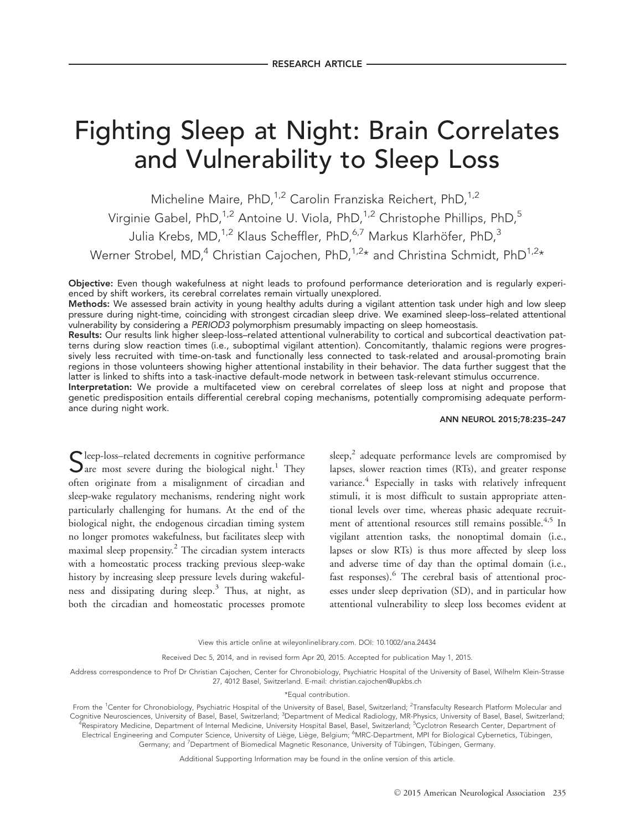# Fighting Sleep at Night: Brain Correlates and Vulnerability to Sleep Loss

Micheline Maire, PhD,<sup>1,2</sup> Carolin Franziska Reichert, PhD,<sup>1,2</sup> Virginie Gabel, PhD,<sup>1,2</sup> Antoine U. Viola, PhD,<sup>1,2</sup> Christophe Phillips, PhD,<sup>5</sup> Julia Krebs, MD,<sup>1,2</sup> Klaus Scheffler, PhD,<sup>6,7</sup> Markus Klarhöfer, PhD,<sup>3</sup> Werner Strobel, MD,<sup>4</sup> Christian Cajochen, PhD,<sup>1,2\*</sup> and Christina Schmidt, PhD<sup>1,2\*</sup>

Objective: Even though wakefulness at night leads to profound performance deterioration and is regularly experienced by shift workers, its cerebral correlates remain virtually unexplored.

Methods: We assessed brain activity in young healthy adults during a vigilant attention task under high and low sleep pressure during night-time, coinciding with strongest circadian sleep drive. We examined sleep-loss–related attentional vulnerability by considering a PERIOD3 polymorphism presumably impacting on sleep homeostasis.

Results: Our results link higher sleep-loss–related attentional vulnerability to cortical and subcortical deactivation patterns during slow reaction times (i.e., suboptimal vigilant attention). Concomitantly, thalamic regions were progressively less recruited with time-on-task and functionally less connected to task-related and arousal-promoting brain regions in those volunteers showing higher attentional instability in their behavior. The data further suggest that the latter is linked to shifts into a task-inactive default-mode network in between task-relevant stimulus occurrence.

Interpretation: We provide a multifaceted view on cerebral correlates of sleep loss at night and propose that genetic predisposition entails differential cerebral coping mechanisms, potentially compromising adequate performance during night work.

#### ANN NEUROL 2015;78:235–247

Sleep-loss–related decrements in cognitive performance  $\sum$  are most severe during the biological night.<sup>1</sup> They often originate from a misalignment of circadian and sleep-wake regulatory mechanisms, rendering night work particularly challenging for humans. At the end of the biological night, the endogenous circadian timing system no longer promotes wakefulness, but facilitates sleep with maximal sleep propensity.<sup>2</sup> The circadian system interacts with a homeostatic process tracking previous sleep-wake history by increasing sleep pressure levels during wakefulness and dissipating during sleep.<sup>3</sup> Thus, at night, as both the circadian and homeostatic processes promote

sleep, $<sup>2</sup>$  adequate performance levels are compromised by</sup> lapses, slower reaction times (RTs), and greater response variance.<sup>4</sup> Especially in tasks with relatively infrequent stimuli, it is most difficult to sustain appropriate attentional levels over time, whereas phasic adequate recruitment of attentional resources still remains possible.<sup>4,5</sup> In vigilant attention tasks, the nonoptimal domain (i.e., lapses or slow RTs) is thus more affected by sleep loss and adverse time of day than the optimal domain (i.e., fast responses).<sup>6</sup> The cerebral basis of attentional processes under sleep deprivation (SD), and in particular how attentional vulnerability to sleep loss becomes evident at

Received Dec 5, 2014, and in revised form Apr 20, 2015. Accepted for publication May 1, 2015.

Address correspondence to Prof Dr Christian Cajochen, Center for Chronobiology, Psychiatric Hospital of the University of Basel, Wilhelm Klein-Strasse 27, 4012 Basel, Switzerland. E-mail: christian.cajochen@upkbs.ch

\*Equal contribution.

From the <sup>1</sup>Center for Chronobiology, Psychiatric Hospital of the University of Basel, Basel, Switzerland; <sup>2</sup>Transfaculty Research Platform Molecular and Cognitive Neurosciences, University of Basel, Basel, Switzerland; <sup>3</sup>Department of Medical Radiology, MR-Physics, University of Basel, Basel, Switzerland; <sup>4</sup>Respiratory Medicine, Department of Internal Medicine, University Hospital Basel, Basel, Switzerland; <sup>5</sup>Cyclotron Research Center, Department of Electrical Engineering and Computer Science, University of Liège, Liège, Belgium; <sup>6</sup>MRC-Department, MPI for Biological Cybernetics, Tübingen, Germany; and <sup>7</sup>Department of Biomedical Magnetic Resonance, University of Tübingen, Tübingen, Germany.

Additional Supporting Information may be found in the online version of this article.

View this article online at wileyonlinelibrary.com. DOI: 10.1002/ana.24434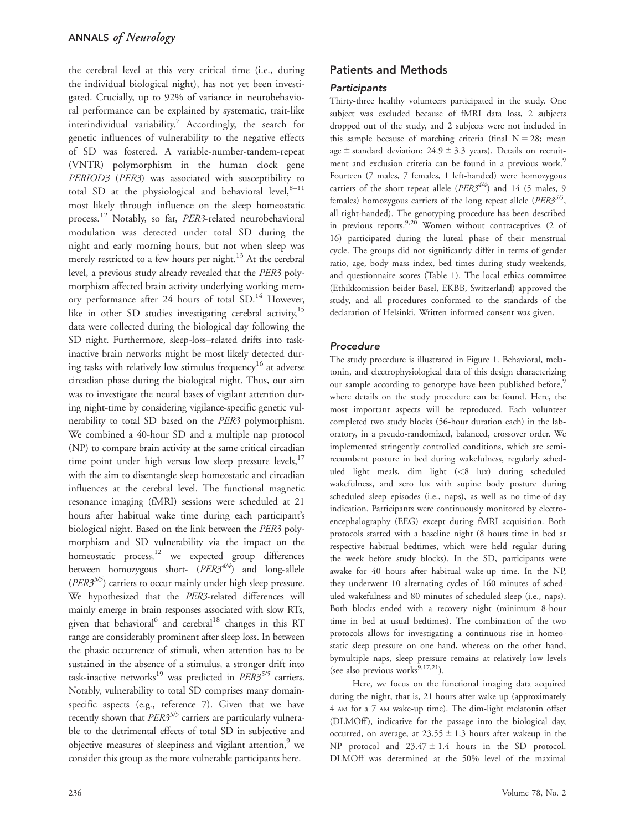the cerebral level at this very critical time (i.e., during the individual biological night), has not yet been investigated. Crucially, up to 92% of variance in neurobehavioral performance can be explained by systematic, trait-like interindividual variability.<sup>7</sup> Accordingly, the search for genetic influences of vulnerability to the negative effects of SD was fostered. A variable-number-tandem-repeat (VNTR) polymorphism in the human clock gene PERIOD3 (PER3) was associated with susceptibility to total SD at the physiological and behavioral level, $8-11$ most likely through influence on the sleep homeostatic process.<sup>12</sup> Notably, so far, PER3-related neurobehavioral modulation was detected under total SD during the night and early morning hours, but not when sleep was merely restricted to a few hours per night.<sup>13</sup> At the cerebral level, a previous study already revealed that the PER3 polymorphism affected brain activity underlying working memory performance after 24 hours of total SD.<sup>14</sup> However, like in other SD studies investigating cerebral activity,<sup>15</sup> data were collected during the biological day following the SD night. Furthermore, sleep-loss–related drifts into taskinactive brain networks might be most likely detected during tasks with relatively low stimulus frequency<sup>16</sup> at adverse circadian phase during the biological night. Thus, our aim was to investigate the neural bases of vigilant attention during night-time by considering vigilance-specific genetic vulnerability to total SD based on the PER3 polymorphism. We combined a 40-hour SD and a multiple nap protocol (NP) to compare brain activity at the same critical circadian time point under high versus low sleep pressure levels,<sup>17</sup> with the aim to disentangle sleep homeostatic and circadian influences at the cerebral level. The functional magnetic resonance imaging (fMRI) sessions were scheduled at 21 hours after habitual wake time during each participant's biological night. Based on the link between the PER3 polymorphism and SD vulnerability via the impact on the homeostatic process, $12$  we expected group differences between homozygous short-  $(PER3^{4/4})$  and long-allele  $(PER3^{5/5})$  carriers to occur mainly under high sleep pressure. We hypothesized that the PER3-related differences will mainly emerge in brain responses associated with slow RTs, given that behavioral<sup>6</sup> and cerebral<sup>18</sup> changes in this RT range are considerably prominent after sleep loss. In between the phasic occurrence of stimuli, when attention has to be sustained in the absence of a stimulus, a stronger drift into task-inactive networks<sup>19</sup> was predicted in  $PER3^{5/5}$  carriers. Notably, vulnerability to total SD comprises many domainspecific aspects (e.g., reference 7). Given that we have recently shown that  $PER3^{5/5}$  carriers are particularly vulnerable to the detrimental effects of total SD in subjective and objective measures of sleepiness and vigilant attention,<sup>9</sup> we consider this group as the more vulnerable participants here.

## **Participants**

Thirty-three healthy volunteers participated in the study. One subject was excluded because of fMRI data loss, 2 subjects dropped out of the study, and 2 subjects were not included in this sample because of matching criteria (final  $N = 28$ ; mean age  $\pm$  standard deviation: 24.9  $\pm$  3.3 years). Details on recruitment and exclusion criteria can be found in a previous work.<sup>9</sup> Fourteen (7 males, 7 females, 1 left-handed) were homozygous carriers of the short repeat allele  $(PER3^{4/4})$  and 14 (5 males, 9 females) homozygous carriers of the long repeat allele (PER3<sup>5/5</sup>, all right-handed). The genotyping procedure has been described in previous reports.<sup>9,20</sup> Women without contraceptives  $(2 \text{ of }$ 16) participated during the luteal phase of their menstrual cycle. The groups did not significantly differ in terms of gender ratio, age, body mass index, bed times during study weekends, and questionnaire scores (Table 1). The local ethics committee (Ethikkomission beider Basel, EKBB, Switzerland) approved the study, and all procedures conformed to the standards of the declaration of Helsinki. Written informed consent was given.

# Procedure

The study procedure is illustrated in Figure 1. Behavioral, melatonin, and electrophysiological data of this design characterizing our sample according to genotype have been published before,<sup>5</sup> where details on the study procedure can be found. Here, the most important aspects will be reproduced. Each volunteer completed two study blocks (56-hour duration each) in the laboratory, in a pseudo-randomized, balanced, crossover order. We implemented stringently controlled conditions, which are semirecumbent posture in bed during wakefulness, regularly scheduled light meals, dim light (<8 lux) during scheduled wakefulness, and zero lux with supine body posture during scheduled sleep episodes (i.e., naps), as well as no time-of-day indication. Participants were continuously monitored by electroencephalography (EEG) except during fMRI acquisition. Both protocols started with a baseline night (8 hours time in bed at respective habitual bedtimes, which were held regular during the week before study blocks). In the SD, participants were awake for 40 hours after habitual wake-up time. In the NP, they underwent 10 alternating cycles of 160 minutes of scheduled wakefulness and 80 minutes of scheduled sleep (i.e., naps). Both blocks ended with a recovery night (minimum 8-hour time in bed at usual bedtimes). The combination of the two protocols allows for investigating a continuous rise in homeostatic sleep pressure on one hand, whereas on the other hand, bymultiple naps, sleep pressure remains at relatively low levels (see also previous works $^{9,17,21}$ ).

Here, we focus on the functional imaging data acquired during the night, that is, 21 hours after wake up (approximately 4 AM for a 7 AM wake-up time). The dim-light melatonin offset (DLMOff), indicative for the passage into the biological day, occurred, on average, at  $23.55 \pm 1.3$  hours after wakeup in the NP protocol and  $23.47 \pm 1.4$  hours in the SD protocol. DLMOff was determined at the 50% level of the maximal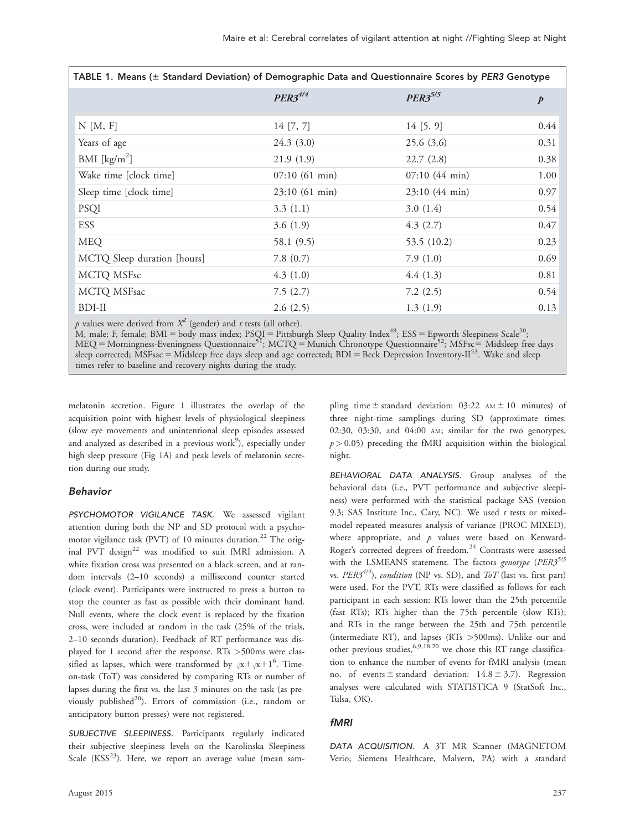| TABLE 1. Means (± Standard Deviation) of Demographic Data and Questionnaire Scores by PER3 Genotype |                |                         |      |  |  |  |  |  |
|-----------------------------------------------------------------------------------------------------|----------------|-------------------------|------|--|--|--|--|--|
|                                                                                                     | $PER3^{4/4}$   | $PER3^{5/5}$            | p    |  |  |  |  |  |
| $N$ [M, F]                                                                                          | 14 [7, 7]      | 14[5, 9]                | 0.44 |  |  |  |  |  |
| Years of age                                                                                        | 24.3(3.0)      | 25.6(3.6)               | 0.31 |  |  |  |  |  |
| BMI $\left[\frac{\text{kg}}{\text{m}^2}\right]$                                                     | 21.9(1.9)      | 22.7(2.8)               | 0.38 |  |  |  |  |  |
| Wake time [clock time]                                                                              | 07:10(61 min)  | $07:10(44 \text{ min})$ | 1.00 |  |  |  |  |  |
| Sleep time [clock time]                                                                             | 23:10 (61 min) | 23:10 (44 min)          | 0.97 |  |  |  |  |  |
| <b>PSQI</b>                                                                                         | 3.3(1.1)       | 3.0(1.4)                | 0.54 |  |  |  |  |  |
| <b>ESS</b>                                                                                          | 3.6(1.9)       | 4.3(2.7)                | 0.47 |  |  |  |  |  |
| <b>MEQ</b>                                                                                          | 58.1 (9.5)     | 53.5 (10.2)             | 0.23 |  |  |  |  |  |
| MCTQ Sleep duration [hours]                                                                         | 7.8(0.7)       | 7.9(1.0)                | 0.69 |  |  |  |  |  |
| MCTQ MSFsc                                                                                          | 4.3(1.0)       | 4.4(1.3)                | 0.81 |  |  |  |  |  |
| MCTQ MSFsac                                                                                         | 7.5(2.7)       | 7.2(2.5)                | 0.54 |  |  |  |  |  |
| BDI-II                                                                                              | 2.6(2.5)       | 1.3(1.9)                | 0.13 |  |  |  |  |  |

p values were derived from  $X^2$  (gender) and t tests (all other).

M, male; F, female; BMI = body mass index; PSQI = Pittsburgh Sleep Quality Index<sup>49</sup>; ESS = Epworth Sleepiness Scale<sup>50</sup>; MEQ = Morningness-Eveningness Questionnaire<sup>51</sup>; MCTQ = Munich Chronotype Questionnaire<sup>52</sup>; MSFsc = Midsleep free days sleep corrected; MSFsac = Midsleep free days sleep and age corrected; BDI = Beck Depression Inventory-II<sup>53</sup>. Wake and sleep times refer to baseline and recovery nights during the study.

melatonin secretion. Figure 1 illustrates the overlap of the acquisition point with highest levels of physiological sleepiness (slow eye movements and unintentional sleep episodes assessed and analyzed as described in a previous work<sup>9</sup>), especially under high sleep pressure (Fig 1A) and peak levels of melatonin secretion during our study.

#### Behavior

PSYCHOMOTOR VIGILANCE TASK. We assessed vigilant attention during both the NP and SD protocol with a psychomotor vigilance task (PVT) of 10 minutes duration.<sup>22</sup> The original PVT design $^{22}$  was modified to suit fMRI admission. A white fixation cross was presented on a black screen, and at random intervals (2–10 seconds) a millisecond counter started (clock event). Participants were instructed to press a button to stop the counter as fast as possible with their dominant hand. Null events, where the clock event is replaced by the fixation cross, were included at random in the task (25% of the trials, 2–10 seconds duration). Feedback of RT performance was displayed for 1 second after the response. RTs >500ms were classified as lapses, which were transformed by  $\sqrt{x} + \sqrt{x} + 1^6$ . Timeon-task (ToT) was considered by comparing RTs or number of lapses during the first vs. the last 3 minutes on the task (as previously published<sup>20</sup>). Errors of commission (i.e., random or anticipatory button presses) were not registered.

SUBJECTIVE SLEEPINESS. Participants regularly indicated their subjective sleepiness levels on the Karolinska Sleepiness Scale  $(KSS<sup>23</sup>)$ . Here, we report an average value (mean sam-

August 2015 237

pling time  $\pm$  standard deviation: 03:22 AM  $\pm$  10 minutes) of three night-time samplings during SD (approximate times: 02:30, 03:30, and 04:00 AM; similar for the two genotypes,  $p > 0.05$ ) preceding the fMRI acquisition within the biological night.

BEHAVIORAL DATA ANALYSIS. Group analyses of the behavioral data (i.e., PVT performance and subjective sleepiness) were performed with the statistical package SAS (version 9.3; SAS Institute Inc., Cary, NC). We used  $t$  tests or mixedmodel repeated measures analysis of variance (PROC MIXED), where appropriate, and  $p$  values were based on Kenward-Roger's corrected degrees of freedom.<sup>24</sup> Contrasts were assessed with the LSMEANS statement. The factors *genotype* ( $PER3^{5/5}$ vs. PER3<sup>4/4</sup>), condition (NP vs. SD), and ToT (last vs. first part) were used. For the PVT, RTs were classified as follows for each participant in each session: RTs lower than the 25th percentile (fast RTs); RTs higher than the 75th percentile (slow RTs); and RTs in the range between the 25th and 75th percentile (intermediate RT), and lapses (RTs >500ms). Unlike our and other previous studies, 6,9,18,20 we chose this RT range classification to enhance the number of events for fMRI analysis (mean no. of events  $\pm$  standard deviation: 14.8  $\pm$  3.7). Regression analyses were calculated with STATISTICA 9 (StatSoft Inc., Tulsa, OK).

#### fMRI

DATA ACQUISITION. A 3T MR Scanner (MAGNETOM Verio; Siemens Healthcare, Malvern, PA) with a standard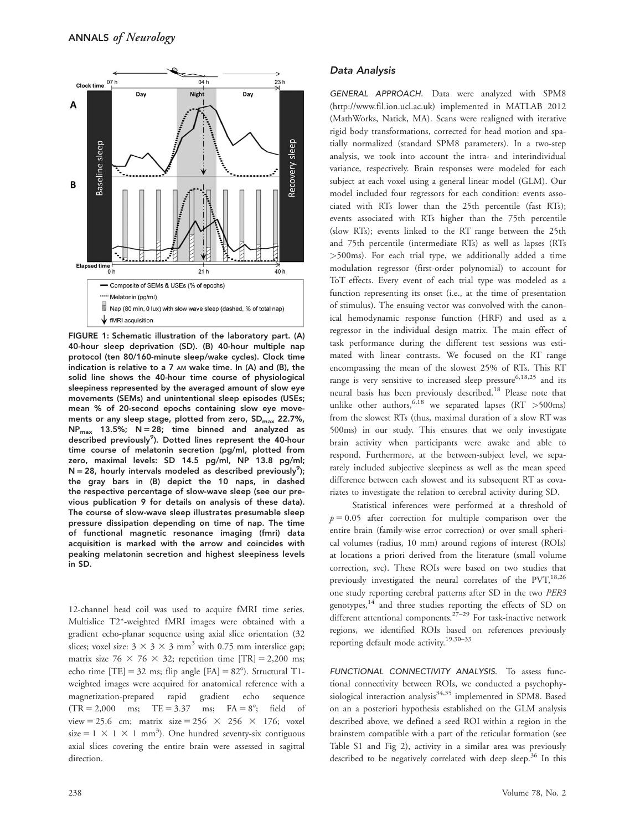

FIGURE 1: Schematic illustration of the laboratory part. (A) 40-hour sleep deprivation (SD). (B) 40-hour multiple nap protocol (ten 80/160-minute sleep/wake cycles). Clock time indication is relative to a 7 AM wake time. In (A) and (B), the solid line shows the 40-hour time course of physiological sleepiness represented by the averaged amount of slow eye movements (SEMs) and unintentional sleep episodes (USEs; mean % of 20-second epochs containing slow eye movements or any sleep stage, plotted from zero, SD<sub>max</sub> 22.7%,  $NP_{max}$  13.5%;  $N = 28$ ; time binned and analyzed as described previously<sup>9</sup>). Dotted lines represent the 40-hour time course of melatonin secretion (pg/ml, plotted from zero, maximal levels: SD 14.5 pg/ml, NP 13.8 pg/ml;  $N = 28$ , hourly intervals modeled as described previously<sup>9</sup>); the gray bars in (B) depict the 10 naps, in dashed the respective percentage of slow-wave sleep (see our previous publication 9 for details on analysis of these data). The course of slow-wave sleep illustrates presumable sleep pressure dissipation depending on time of nap. The time of functional magnetic resonance imaging (fmri) data acquisition is marked with the arrow and coincides with peaking melatonin secretion and highest sleepiness levels in SD.

12-channel head coil was used to acquire fMRI time series. Multislice T2\*-weighted fMRI images were obtained with a gradient echo-planar sequence using axial slice orientation (32 slices; voxel size:  $3 \times 3 \times 3$  mm<sup>3</sup> with 0.75 mm interslice gap; matrix size 76  $\times$  76  $\times$  32; repetition time [TR] = 2,200 ms; echo time  $[TE] = 32$  ms; flip angle  $[FA] = 82^{\circ}$ ). Structural T1weighted images were acquired for anatomical reference with a magnetization-prepared rapid gradient echo sequence  $(TR = 2,000$  ms;  $TE = 3.37$  ms;  $FA = 8^\circ$ ; field of view = 25.6 cm; matrix size = 256  $\times$  256  $\times$  176; voxel size =  $1 \times 1 \times 1$  mm<sup>3</sup>). One hundred seventy-six contiguous axial slices covering the entire brain were assessed in sagittal direction.

#### Data Analysis

GENERAL APPROACH. Data were analyzed with SPM8 (<http://www.fil.ion.ucl.ac.uk>) implemented in MATLAB 2012 (MathWorks, Natick, MA). Scans were realigned with iterative rigid body transformations, corrected for head motion and spatially normalized (standard SPM8 parameters). In a two-step analysis, we took into account the intra- and interindividual variance, respectively. Brain responses were modeled for each subject at each voxel using a general linear model (GLM). Our model included four regressors for each condition: events associated with RTs lower than the 25th percentile (fast RTs); events associated with RTs higher than the 75th percentile (slow RTs); events linked to the RT range between the 25th and 75th percentile (intermediate RTs) as well as lapses (RTs >500ms). For each trial type, we additionally added a time modulation regressor (first-order polynomial) to account for ToT effects. Every event of each trial type was modeled as a function representing its onset (i.e., at the time of presentation of stimulus). The ensuing vector was convolved with the canonical hemodynamic response function (HRF) and used as a regressor in the individual design matrix. The main effect of task performance during the different test sessions was estimated with linear contrasts. We focused on the RT range encompassing the mean of the slowest 25% of RTs. This RT range is very sensitive to increased sleep pressure<sup>6,18,25</sup> and its neural basis has been previously described.<sup>18</sup> Please note that unlike other authors,  $6,18$  we separated lapses (RT >500ms) from the slowest RTs (thus, maximal duration of a slow RT was 500ms) in our study. This ensures that we only investigate brain activity when participants were awake and able to respond. Furthermore, at the between-subject level, we separately included subjective sleepiness as well as the mean speed difference between each slowest and its subsequent RT as covariates to investigate the relation to cerebral activity during SD.

Statistical inferences were performed at a threshold of  $p = 0.05$  after correction for multiple comparison over the entire brain (family-wise error correction) or over small spherical volumes (radius, 10 mm) around regions of interest (ROIs) at locations a priori derived from the literature (small volume correction, svc). These ROIs were based on two studies that previously investigated the neural correlates of the  $PVT$ ,<sup>18,26</sup> one study reporting cerebral patterns after SD in the two PER3 genotypes,<sup>14</sup> and three studies reporting the effects of SD on different attentional components.<sup>27–29</sup> For task-inactive network regions, we identified ROIs based on references previously reporting default mode activity.<sup>19,30-33</sup>

FUNCTIONAL CONNECTIVITY ANALYSIS. To assess functional connectivity between ROIs, we conducted a psychophysiological interaction analysis $34,35$  implemented in SPM8. Based on an a posteriori hypothesis established on the GLM analysis described above, we defined a seed ROI within a region in the brainstem compatible with a part of the reticular formation (see Table S1 and Fig 2), activity in a similar area was previously described to be negatively correlated with deep sleep.<sup>36</sup> In this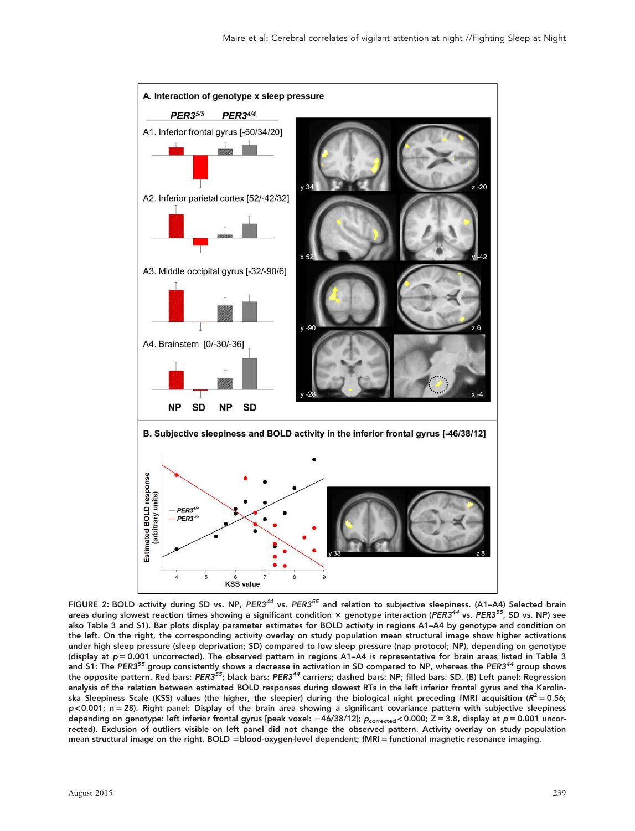

FIGURE 2: BOLD activity during SD vs. NP, PER3<sup>44</sup> vs. PER3<sup>55</sup> and relation to subjective sleepiness. (A1-A4) Selected brain areas during slowest reaction times showing a significant condition  $\times$  genotype interaction (PER3<sup>44</sup> vs. PER3<sup>55</sup>, SD vs. NP) see also Table 3 and S1). Bar plots display parameter estimates for BOLD activity in regions A1–A4 by genotype and condition on the left. On the right, the corresponding activity overlay on study population mean structural image show higher activations under high sleep pressure (sleep deprivation; SD) compared to low sleep pressure (nap protocol; NP), depending on genotype (display at  $p = 0.001$  uncorrected). The observed pattern in regions A1–A4 is representative for brain areas listed in Table 3 and S1: The PER3<sup>55</sup> group consistently shows a decrease in activation in SD compared to NP, whereas the PER3<sup>44</sup> group shows the opposite pattern. Red bars: PER3<sup>55</sup>; black bars: PER3<sup>44</sup> carriers; dashed bars: NP; filled bars: SD. (B) Left panel: Regression analysis of the relation between estimated BOLD responses during slowest RTs in the left inferior frontal gyrus and the Karolinska Sleepiness Scale (KSS) values (the higher, the sleepier) during the biological night preceding fMRI acquisition ( $R^2 = 0.56$ ;  $p$ <0.001; n = 28). Right panel: Display of the brain area showing a significant covariance pattern with subjective sleepiness depending on genotype: left inferior frontal gyrus [peak voxel:  $-46/38/12$ ];  $p_{\text{corrected}}$  < 0.000; Z = 3.8, display at p = 0.001 uncorrected). Exclusion of outliers visible on left panel did not change the observed pattern. Activity overlay on study population mean structural image on the right. BOLD =blood-oxygen-level dependent; fMRI = functional magnetic resonance imaging.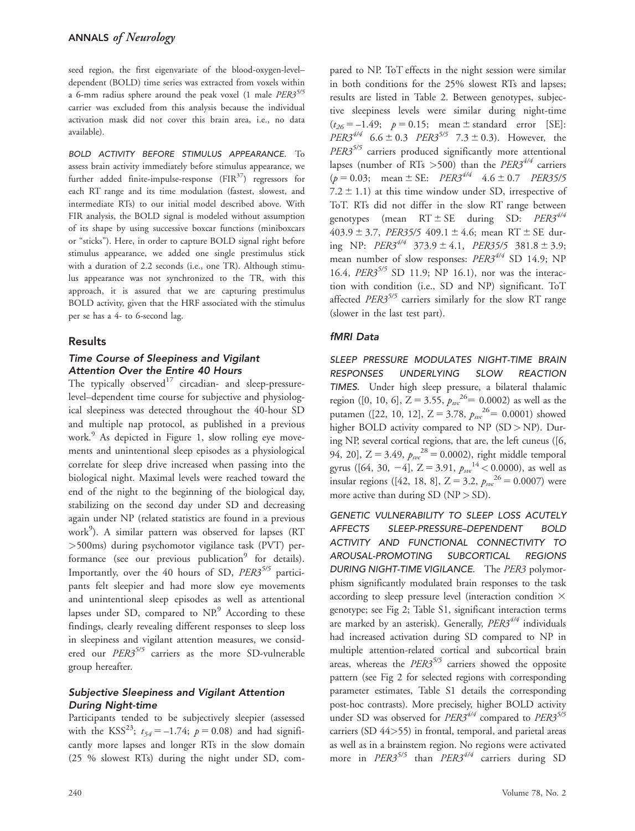seed region, the first eigenvariate of the blood-oxygen-level– dependent (BOLD) time series was extracted from voxels within a 6-mm radius sphere around the peak voxel (1 male  $PER3^{5/5}$ carrier was excluded from this analysis because the individual activation mask did not cover this brain area, i.e., no data available).

BOLD ACTIVITY BEFORE STIMULUS APPEARANCE. To assess brain activity immediately before stimulus appearance, we further added finite-impulse-response (FIR<sup>37</sup>) regressors for each RT range and its time modulation (fastest, slowest, and intermediate RTs) to our initial model described above. With FIR analysis, the BOLD signal is modeled without assumption of its shape by using successive boxcar functions (miniboxcars or "sticks"). Here, in order to capture BOLD signal right before stimulus appearance, we added one single prestimulus stick with a duration of 2.2 seconds (i.e., one TR). Although stimulus appearance was not synchronized to the TR, with this approach, it is assured that we are capturing prestimulus BOLD activity, given that the HRF associated with the stimulus per se has a 4- to 6-second lag.

#### Results

### Time Course of Sleepiness and Vigilant Attention Over the Entire 40 Hours

The typically observed $17$  circadian- and sleep-pressurelevel–dependent time course for subjective and physiological sleepiness was detected throughout the 40-hour SD and multiple nap protocol, as published in a previous work.<sup>9</sup> As depicted in Figure 1, slow rolling eye movements and unintentional sleep episodes as a physiological correlate for sleep drive increased when passing into the biological night. Maximal levels were reached toward the end of the night to the beginning of the biological day, stabilizing on the second day under SD and decreasing again under NP (related statistics are found in a previous work<sup>9</sup>). A similar pattern was observed for lapses (RT >500ms) during psychomotor vigilance task (PVT) performance (see our previous publication $9$  for details). Importantly, over the 40 hours of SD,  $PER3^{5/5}$  participants felt sleepier and had more slow eye movements and unintentional sleep episodes as well as attentional lapses under SD, compared to  $NP<sup>9</sup>$  According to these findings, clearly revealing different responses to sleep loss in sleepiness and vigilant attention measures, we considered our PER3<sup>5/5</sup> carriers as the more SD-vulnerable group hereafter.

## Subjective Sleepiness and Vigilant Attention During Night-time

Participants tended to be subjectively sleepier (assessed with the KSS<sup>23</sup>;  $t_{54} = -1.74$ ;  $p = 0.08$ ) and had significantly more lapses and longer RTs in the slow domain (25 % slowest RTs) during the night under SD, com-

pared to NP. ToT effects in the night session were similar in both conditions for the 25% slowest RTs and lapses; results are listed in Table 2. Between genotypes, subjective sleepiness levels were similar during night-time  $(t_{26} = -1.49; p = 0.15; mean \pm standard error [SE]:$ *PER3*<sup>4/4</sup> 6.6 ± 0.3 *PER3*<sup>5/5</sup> 7.3 ± 0.3). However, the  $PER3^{5/5}$  carriers produced significantly more attentional lapses (number of RTs > 500) than the  $PER3^{4/4}$  carriers  $(p = 0.03;$  mean  $\pm$  SE: *PER3<sup>4/4</sup>* 4.6  $\pm$  0.7 *PER35/5* 7.2  $\pm$  1.1) at this time window under SD, irrespective of ToT. RTs did not differ in the slow RT range between genotypes (mean  $RT \pm SE$  during SD:  $PER3^{4/4}$ 403.9  $\pm$  3.7, PER35/5 409.1  $\pm$  4.6; mean RT  $\pm$  SE during NP:  $PER3^{4/4}$  373.9 ± 4.1, PER35/5 381.8 ± 3.9; mean number of slow responses:  $PER3^{4/4}$  SD 14.9; NP 16.4,  $PER3^{5/5}$  SD 11.9; NP 16.1), nor was the interaction with condition (i.e., SD and NP) significant. ToT affected PER3<sup>5/5</sup> carriers similarly for the slow RT range (slower in the last test part).

#### fMRI Data

SLEEP PRESSURE MODULATES NIGHT-TIME BRAIN RESPONSES UNDERLYING SLOW REACTION TIMES. Under high sleep pressure, a bilateral thalamic region ([0, 10, 6],  $Z = 3.55$ ,  $p_{sw}^{26} = 0.0002$ ) as well as the putamen ([22, 10, 12],  $Z = 3.78$ ,  $p_{\text{src}}^{26} = 0.0001$ ) showed higher BOLD activity compared to NP (SD > NP). During NP, several cortical regions, that are, the left cuneus ([6, 94, 20], Z = 3.49,  $p_{svc}^{28}$  = 0.0002), right middle temporal gyrus ([64, 30, -4], Z = 3.91,  $p_{\text{src}}^{14}$  < 0.0000), as well as insular regions ([42, 18, 8],  $Z = 3.2$ ,  $p_{sw}^{26} = 0.0007$ ) were more active than during  $SD (NP > SD)$ .

GENETIC VULNERABILITY TO SLEEP LOSS ACUTELY AFFECTS SLEEP-PRESSURE–DEPENDENT BOLD ACTIVITY AND FUNCTIONAL CONNECTIVITY TO AROUSAL-PROMOTING SUBCORTICAL REGIONS DURING NIGHT-TIME VIGILANCE. The PER3 polymorphism significantly modulated brain responses to the task according to sleep pressure level (interaction condition  $\times$ genotype; see Fig 2; Table S1, significant interaction terms are marked by an asterisk). Generally,  $PER3^{4/4}$  individuals had increased activation during SD compared to NP in multiple attention-related cortical and subcortical brain areas, whereas the  $PER3^{5/5}$  carriers showed the opposite pattern (see Fig 2 for selected regions with corresponding parameter estimates, Table S1 details the corresponding post-hoc contrasts). More precisely, higher BOLD activity under SD was observed for  $PER3^{4/4}$  compared to  $PER3^{5/5}$ carriers (SD 44>55) in frontal, temporal, and parietal areas as well as in a brainstem region. No regions were activated more in  $PER3^{5/5}$  than  $PER3^{4/4}$  carriers during SD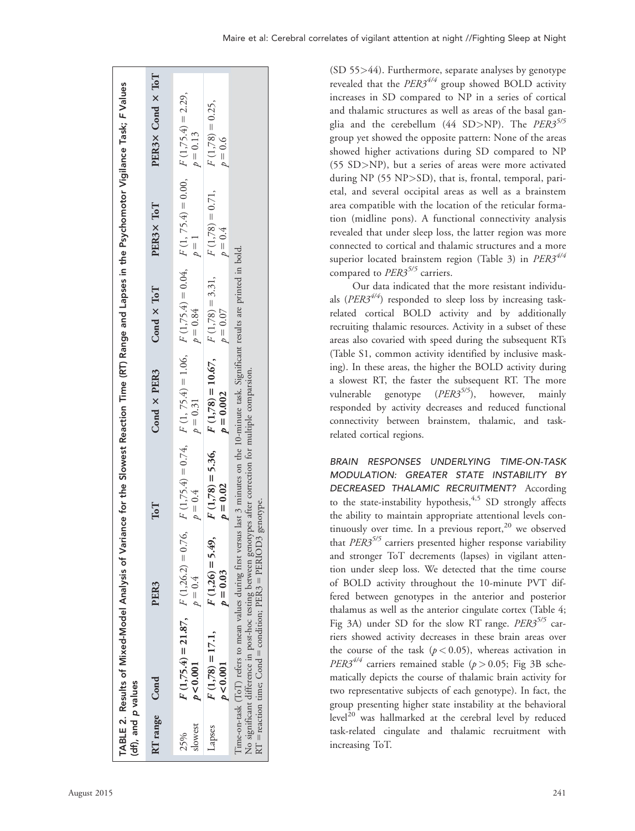| (df), and p values | TABLE 2. Results of Mixed-Model Analysis of Variance for the Slowest Reaction Time (RT) Range and Lapses in the Psychomotor Vigilance Task; F Values                                                                                                                                                                       |                                  |                                  |                                                       |                   |                                                                                                                       |                                 |
|--------------------|----------------------------------------------------------------------------------------------------------------------------------------------------------------------------------------------------------------------------------------------------------------------------------------------------------------------------|----------------------------------|----------------------------------|-------------------------------------------------------|-------------------|-----------------------------------------------------------------------------------------------------------------------|---------------------------------|
| RT range           | Cond                                                                                                                                                                                                                                                                                                                       | PER <sub>3</sub>                 | ToT                              | Cond × PER3                                           | Cond $\times$ ToT | PER3× ToT                                                                                                             | $PER3 \times Cond \times ToT$   |
| slowest<br>25%     | $F(1,75.4) = 21.87$ , $F(1,26.2) = 0.76$ ,<br>p < 0.001                                                                                                                                                                                                                                                                    | $p=0.4$                          | $p = 0.4$                        | $p = 0.31$                                            | $p = 0.84$        | $F(1,75.4) = 0.74$ , $F(1, 75.4) = 1.06$ , $F(1,75.4) = 0.04$ , $F(1, 75.4) = 0.00$ , $F(1,75.4) = 2.29$ ,<br>$p = 1$ | $p = 0.13$                      |
| Lapses             | $F(1,78) = 17.1,$<br>p < 0.001                                                                                                                                                                                                                                                                                             | $F(1,26) = 5.49$ ,<br>$p = 0.03$ | $F(1,78) = 5.36$ ,<br>$p = 0.02$ | $F(1,78) = 10.67$ , $F(1,78) = 3.31$ ,<br>$p = 0.002$ | $p = 0.07$        | $F(1,78) = 0.71,$<br>$p=0.4$                                                                                          | $F(1,78) = 0.25$ ,<br>$p = 0.6$ |
|                    | Time-on-task (ToT) refers to mean values during first versus last 3 minutes on the 10-minute task. Significant results are printed in bold.<br>No significant difference in post-hoc testing between genotypes after correction for multiple comparsion.<br>RT = reaction time; Cond = condition; PER3 = PERIOD3 genotype. |                                  |                                  |                                                       |                   |                                                                                                                       |                                 |

(SD 55>44). Furthermore, separate analyses by genotype revealed that the  $PER3^{4/4}$  group showed BOLD activity increases in SD compared to NP in a series of cortical and thalamic structures as well as areas of the basal ganglia and the cerebellum (44 SD>NP). The  $PER3^{5/5}$ group yet showed the opposite pattern: None of the areas showed higher activations during SD compared to NP (55 SD>NP), but a series of areas were more activated during NP (55 NP>SD), that is, frontal, temporal, parietal, and several occipital areas as well as a brainstem area compatible with the location of the reticular formation (midline pons). A functional connectivity analysis revealed that under sleep loss, the latter region was more connected to cortical and thalamic structures and a more superior located brainstem region (Table 3) in  $PER3^{4/4}$ compared to  $PER3^{5/5}$  carriers.

Our data indicated that the more resistant individuals ( $PER3^{4/4}$ ) responded to sleep loss by increasing taskrelated cortical BOLD activity and by additionally recruiting thalamic resources. Activity in a subset of these areas also covaried with speed during the subsequent RTs (Table S1, common activity identified by inclusive masking). In these areas, the higher the BOLD activity during a slowest RT, the faster the subsequent RT. The more vulnerable genotype (PER3<sup>5/5</sup>), however, mainly responded by activity decreases and reduced functional connectivity between brainstem, thalamic, and taskrelated cortical regions.

BRAIN RESPONSES UNDERLYING TIME-ON-TASK MODULATION: GREATER STATE INSTABILITY BY DECREASED THALAMIC RECRUITMENT? According to the state-instability hypothesis,  $4,5$  SD strongly affects the ability to maintain appropriate attentional levels continuously over time. In a previous report, $20$  we observed that  $PER3^{5/5}$  carriers presented higher response variability and stronger ToT decrements (lapses) in vigilant attention under sleep loss. We detected that the time course of BOLD activity throughout the 10-minute PVT differed between genotypes in the anterior and posterior thalamus as well as the anterior cingulate cortex (Table 4; Fig 3A) under SD for the slow RT range. PER3 $5/5$  carriers showed activity decreases in these brain areas over the course of the task  $(p < 0.05)$ , whereas activation in *PER3*<sup>4/4</sup> carriers remained stable ( $p > 0.05$ ; Fig 3B schematically depicts the course of thalamic brain activity for two representative subjects of each genotype). In fact, the group presenting higher state instability at the behavioral  $level<sup>20</sup>$  was hallmarked at the cerebral level by reduced task-related cingulate and thalamic recruitment with increasing ToT.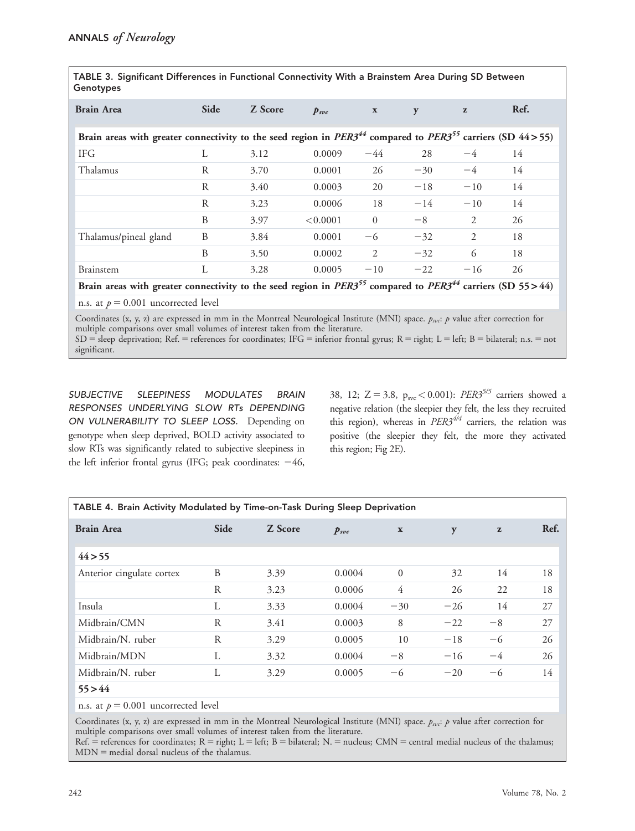| TABLE 3. Significant Differences in Functional Connectivity With a Brainstem Area During SD Between<br>Genotypes                  |      |         |                  |                |       |              |      |  |  |
|-----------------------------------------------------------------------------------------------------------------------------------|------|---------|------------------|----------------|-------|--------------|------|--|--|
| <b>Brain Area</b>                                                                                                                 | Side | Z Score | $p_{\text{src}}$ | $\mathbf{x}$   | y     | $\mathbf{z}$ | Ref. |  |  |
| Brain areas with greater connectivity to the seed region in $PER3^{44}$ compared to $PER3^{55}$ carriers (SD 44>55)               |      |         |                  |                |       |              |      |  |  |
| <b>IFG</b>                                                                                                                        | L    | 3.12    | 0.0009           | $-44$          | 28    | $-4$         | 14   |  |  |
| Thalamus                                                                                                                          | R    | 3.70    | 0.0001           | 26             | $-30$ | $-4$         | 14   |  |  |
|                                                                                                                                   | R    | 3.40    | 0.0003           | 20             | $-18$ | $-10$        | 14   |  |  |
|                                                                                                                                   | R    | 3.23    | 0.0006           | 18             | $-14$ | $-10$        | 14   |  |  |
|                                                                                                                                   | B    | 3.97    | < 0.0001         | $\overline{0}$ | $-8$  | 2            | 26   |  |  |
| Thalamus/pineal gland                                                                                                             | B    | 3.84    | 0.0001           | -6             | $-32$ | 2            | 18   |  |  |
|                                                                                                                                   | B    | 3.50    | 0.0002           | 2              | $-32$ | 6            | 18   |  |  |
| Brainstem                                                                                                                         | L    | 3.28    | 0.0005           | $-10$          | $-22$ | $-16$        | 26   |  |  |
| Brain areas with greater connectivity to the seed region in PER3 <sup>55</sup> compared to PER3 <sup>44</sup> carriers (SD 55>44) |      |         |                  |                |       |              |      |  |  |

n.s. at  $p = 0.001$  uncorrected level

Coordinates (x, y, z) are expressed in mm in the Montreal Neurological Institute (MNI) space.  $p_{svc}$ :  $p$  value after correction for multiple comparisons over small volumes of interest taken from the literature.  $SD =$  sleep deprivation; Ref. = references for coordinates; IFG = inferior frontal gyrus; R = right; L = left; B = bilateral; n.s. = not significant.

SUBJECTIVE SLEEPINESS MODULATES BRAIN RESPONSES UNDERLYING SLOW RTs DEPENDING ON VULNERABILITY TO SLEEP LOSS. Depending on genotype when sleep deprived, BOLD activity associated to slow RTs was significantly related to subjective sleepiness in the left inferior frontal gyrus (IFG; peak coordinates:  $-46$ ,

38, 12; Z = 3.8,  $p_{\rm src}$  < 0.001): PER3<sup>5/5</sup> carriers showed a negative relation (the sleepier they felt, the less they recruited this region), whereas in  $PER3^{4/4}$  carriers, the relation was positive (the sleepier they felt, the more they activated this region; Fig 2E).

| TABLE 4. Brain Activity Modulated by Time-on-Task During Sleep Deprivation |           |         |           |                |       |              |      |  |  |
|----------------------------------------------------------------------------|-----------|---------|-----------|----------------|-------|--------------|------|--|--|
| <b>Brain Area</b>                                                          | Side      | Z Score | $p_{svc}$ | $\mathbf x$    | y     | $\mathbf{z}$ | Ref. |  |  |
| 44 > 55                                                                    |           |         |           |                |       |              |      |  |  |
| Anterior cingulate cortex                                                  | B         | 3.39    | 0.0004    | $\Omega$       | 32    | 14           | 18   |  |  |
|                                                                            | ${\bf R}$ | 3.23    | 0.0006    | $\overline{4}$ | 26    | 22           | 18   |  |  |
| Insula                                                                     | L         | 3.33    | 0.0004    | $-30$          | $-26$ | 14           | 27   |  |  |
| Midbrain/CMN                                                               | R         | 3.41    | 0.0003    | 8              | $-22$ | $-8$         | 27   |  |  |
| Midbrain/N. ruber                                                          | R         | 3.29    | 0.0005    | 10             | $-18$ | -6           | 26   |  |  |
| Midbrain/MDN                                                               | L         | 3.32    | 0.0004    | $-8$           | $-16$ | $-4$         | 26   |  |  |
| Midbrain/N. ruber                                                          | L         | 3.29    | 0.0005    | -6             | $-20$ | -6           | 14   |  |  |
| 55 > 44                                                                    |           |         |           |                |       |              |      |  |  |
| n.s. at $p = 0.001$ uncorrected level                                      |           |         |           |                |       |              |      |  |  |

Coordinates (x, y, z) are expressed in mm in the Montreal Neurological Institute (MNI) space.  $p_{svc}$ :  $p$  value after correction for multiple comparisons over small volumes of interest taken from the literature.

Ref.  $=$  references for coordinates; R = right; L = left; B = bilateral; N. = nucleus; CMN = central medial nucleus of the thalamus;  $MDN$  = medial dorsal nucleus of the thalamus.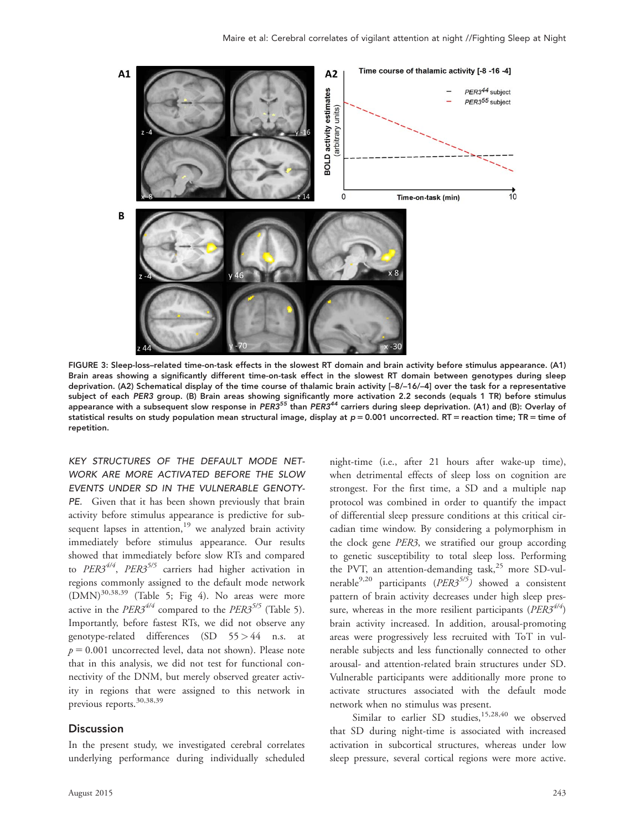

FIGURE 3: Sleep-loss–related time-on-task effects in the slowest RT domain and brain activity before stimulus appearance. (A1) Brain areas showing a significantly different time-on-task effect in the slowest RT domain between genotypes during sleep deprivation. (A2) Schematical display of the time course of thalamic brain activity [–8/–16/–4] over the task for a representative subject of each PER3 group. (B) Brain areas showing significantly more activation 2.2 seconds (equals 1 TR) before stimulus appearance with a subsequent slow response in PER3<sup>55</sup> than PER3<sup>44</sup> carriers during sleep deprivation. (A1) and (B): Overlay of statistical results on study population mean structural image, display at  $p = 0.001$  uncorrected. RT = reaction time; TR = time of repetition.

KEY STRUCTURES OF THE DEFAULT MODE NET-WORK ARE MORE ACTIVATED BEFORE THE SLOW EVENTS UNDER SD IN THE VULNERABLE GENOTY-PE. Given that it has been shown previously that brain activity before stimulus appearance is predictive for subsequent lapses in attention, $19$  we analyzed brain activity immediately before stimulus appearance. Our results showed that immediately before slow RTs and compared to  $PER3^{4/4}$ ,  $PER3^{5/5}$  carriers had higher activation in regions commonly assigned to the default mode network  $(DMN)^{30,38,39}$  (Table 5; Fig 4). No areas were more active in the  $PER3^{4/4}$  compared to the  $PER3^{5/5}$  (Table 5). Importantly, before fastest RTs, we did not observe any genotype-related differences (SD 55 > 44 n.s. at  $p = 0.001$  uncorrected level, data not shown). Please note that in this analysis, we did not test for functional connectivity of the DNM, but merely observed greater activity in regions that were assigned to this network in previous reports.<sup>30,38,39</sup>

#### **Discussion**

In the present study, we investigated cerebral correlates underlying performance during individually scheduled

night-time (i.e., after 21 hours after wake-up time), when detrimental effects of sleep loss on cognition are strongest. For the first time, a SD and a multiple nap protocol was combined in order to quantify the impact of differential sleep pressure conditions at this critical circadian time window. By considering a polymorphism in the clock gene PER3, we stratified our group according to genetic susceptibility to total sleep loss. Performing the PVT, an attention-demanding task, $25$  more SD-vulnerable<sup>9,20</sup> participants ( $PER3^{5/5}$ ) showed a consistent pattern of brain activity decreases under high sleep pressure, whereas in the more resilient participants ( $PER3^{4/4}$ ) brain activity increased. In addition, arousal-promoting areas were progressively less recruited with ToT in vulnerable subjects and less functionally connected to other arousal- and attention-related brain structures under SD. Vulnerable participants were additionally more prone to activate structures associated with the default mode network when no stimulus was present.

Similar to earlier SD studies,  $15,28,40$  we observed that SD during night-time is associated with increased activation in subcortical structures, whereas under low sleep pressure, several cortical regions were more active.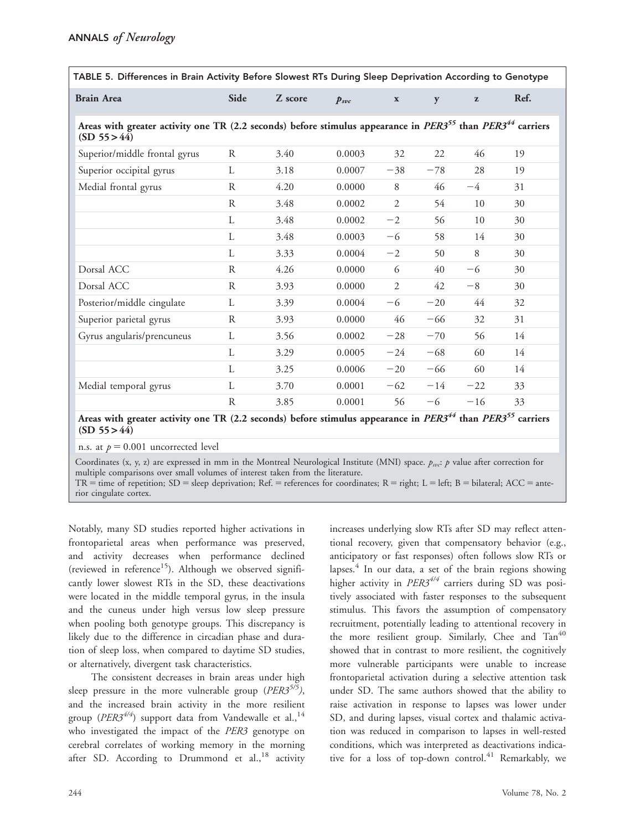| TABLE 5. Differences in Brain Activity Before Slowest RTs During Sleep Deprivation According to Genotype                                           |                       |                  |           |                |                               |              |      |  |  |
|----------------------------------------------------------------------------------------------------------------------------------------------------|-----------------------|------------------|-----------|----------------|-------------------------------|--------------|------|--|--|
| <b>Brain Area</b>                                                                                                                                  | Side                  | Z score          | $p_{svc}$ | $\mathbf x$    | y                             | $\mathbf{z}$ | Ref. |  |  |
| Areas with greater activity one TR (2.2 seconds) before stimulus appearance in PER3 <sup>55</sup> than PER3 <sup>44</sup> carriers<br>(SD 55 > 44) |                       |                  |           |                |                               |              |      |  |  |
| Superior/middle frontal gyrus                                                                                                                      | R                     | 3.40             | 0.0003    | 32             | 22                            | 46           | 19   |  |  |
| Superior occipital gyrus                                                                                                                           | L                     | 3.18             | 0.0007    | $-38$          | $-78$                         | 28           | 19   |  |  |
| Medial frontal gyrus                                                                                                                               | ${\bf R}$             | 4.20             | 0.0000    | 8              | 46                            | $-4$         | 31   |  |  |
|                                                                                                                                                    | $\mathbb{R}$          | 3.48             | 0.0002    | $\overline{2}$ | 54                            | 10           | 30   |  |  |
|                                                                                                                                                    | $\mathbf{L}$          | 3.48             | 0.0002    | $-2$           | 56                            | 10           | 30   |  |  |
|                                                                                                                                                    | L                     | 3.48             | 0.0003    | -6             | 58                            | 14           | 30   |  |  |
|                                                                                                                                                    | L                     | 3.33             | 0.0004    | $-2$           | 50                            | 8            | 30   |  |  |
| Dorsal ACC                                                                                                                                         | R                     | 4.26             | 0.0000    | 6              | 40                            | -6           | 30   |  |  |
| Dorsal ACC                                                                                                                                         | $\mathbb{R}$          | 3.93             | 0.0000    | $\mathfrak{2}$ | 42                            | $-8$         | 30   |  |  |
| Posterior/middle cingulate                                                                                                                         | L                     | 3.39             | 0.0004    | $-6$           | $-20$                         | 44           | 32   |  |  |
| Superior parietal gyrus                                                                                                                            | R                     | 3.93             | 0.0000    | 46             | $-66$                         | 32           | 31   |  |  |
| Gyrus angularis/prencuneus                                                                                                                         | L                     | 3.56             | 0.0002    | $-28$          | $-70$                         | 56           | 14   |  |  |
|                                                                                                                                                    | L                     | 3.29             | 0.0005    | $-24$          | $-68$                         | 60           | 14   |  |  |
|                                                                                                                                                    | L                     | 3.25             | 0.0006    | $-20$          | $-66$                         | 60           | 14   |  |  |
| Medial temporal gyrus                                                                                                                              | L                     | 3.70             | 0.0001    | $-62$          | $-14$                         | $-22$        | 33   |  |  |
|                                                                                                                                                    | R                     | 3.85             | 0.0001    | 56             | $-6$                          | $-16$        | 33   |  |  |
| 6.1<br>$\bullet\qquad\bullet$                                                                                                                      | $\mathbf{m}$ $\alpha$ | $1 \times 1$ $C$ |           |                | $n_{\rm EDA}$ <sup>44</sup> 1 | nma55        |      |  |  |

Areas with greater activity one TR (2.2 seconds) before stimulus appearance in  $PER3^{24}$  than  $PER3^{22}$  carriers  $(SD 55 > 44)$ 

n.s. at  $p = 0.001$  uncorrected level

Coordinates (x, y, z) are expressed in mm in the Montreal Neurological Institute (MNI) space.  $p_{svc}$ : p value after correction for multiple comparisons over small volumes of interest taken from the literature.

TR = time of repetition; SD = sleep deprivation; Ref. = references for coordinates; R = right; L = left; B = bilateral; ACC = anterior cingulate cortex.

Notably, many SD studies reported higher activations in frontoparietal areas when performance was preserved, and activity decreases when performance declined (reviewed in reference $15$ ). Although we observed significantly lower slowest RTs in the SD, these deactivations were located in the middle temporal gyrus, in the insula and the cuneus under high versus low sleep pressure when pooling both genotype groups. This discrepancy is likely due to the difference in circadian phase and duration of sleep loss, when compared to daytime SD studies, or alternatively, divergent task characteristics.

The consistent decreases in brain areas under high sleep pressure in the more vulnerable group ( $PER3^{5/5}$ ), and the increased brain activity in the more resilient group ( $PER3^{4/4}$ ) support data from Vandewalle et al.,<sup>14</sup> who investigated the impact of the PER3 genotype on cerebral correlates of working memory in the morning after SD. According to Drummond et  $al,18$  activity

increases underlying slow RTs after SD may reflect attentional recovery, given that compensatory behavior (e.g., anticipatory or fast responses) often follows slow RTs or lapses. $4$  In our data, a set of the brain regions showing higher activity in  $PER3^{4/4}$  carriers during SD was positively associated with faster responses to the subsequent stimulus. This favors the assumption of compensatory recruitment, potentially leading to attentional recovery in the more resilient group. Similarly, Chee and Tan<sup>40</sup> showed that in contrast to more resilient, the cognitively more vulnerable participants were unable to increase frontoparietal activation during a selective attention task under SD. The same authors showed that the ability to raise activation in response to lapses was lower under SD, and during lapses, visual cortex and thalamic activation was reduced in comparison to lapses in well-rested conditions, which was interpreted as deactivations indicative for a loss of top-down control.<sup>41</sup> Remarkably, we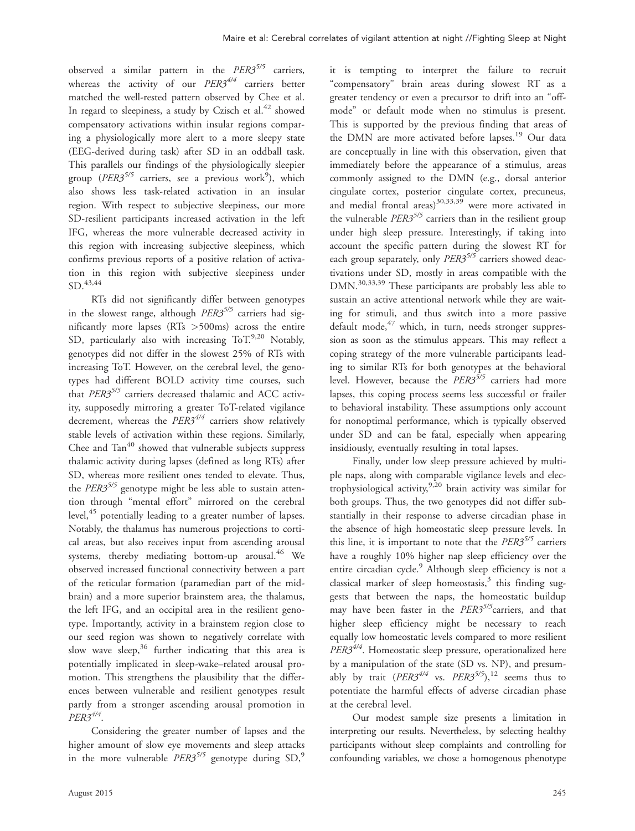observed a similar pattern in the  $PER3^{5/5}$  carriers, whereas the activity of our  $PER3^{4/4}$  carriers better matched the well-rested pattern observed by Chee et al. In regard to sleepiness, a study by Czisch et al.<sup>42</sup> showed compensatory activations within insular regions comparing a physiologically more alert to a more sleepy state (EEG-derived during task) after SD in an oddball task. This parallels our findings of the physiologically sleepier group ( $PER3^{5/5}$  carriers, see a previous work<sup>9</sup>), which also shows less task-related activation in an insular region. With respect to subjective sleepiness, our more SD-resilient participants increased activation in the left IFG, whereas the more vulnerable decreased activity in this region with increasing subjective sleepiness, which confirms previous reports of a positive relation of activation in this region with subjective sleepiness under  $SD.<sup>43,44</sup>$ 

RTs did not significantly differ between genotypes in the slowest range, although  $PER3^{5/5}$  carriers had significantly more lapses (RTs >500ms) across the entire SD, particularly also with increasing  $ToT^{9,20}$  Notably, genotypes did not differ in the slowest 25% of RTs with increasing ToT. However, on the cerebral level, the genotypes had different BOLD activity time courses, such that PER3<sup>5/5</sup> carriers decreased thalamic and ACC activity, supposedly mirroring a greater ToT-related vigilance decrement, whereas the  $PER3^{4/4}$  carriers show relatively stable levels of activation within these regions. Similarly, Chee and  $Tan<sup>40</sup>$  showed that vulnerable subjects suppress thalamic activity during lapses (defined as long RTs) after SD, whereas more resilient ones tended to elevate. Thus, the  $PER3^{5/5}$  genotype might be less able to sustain attention through "mental effort" mirrored on the cerebral level,<sup>45</sup> potentially leading to a greater number of lapses. Notably, the thalamus has numerous projections to cortical areas, but also receives input from ascending arousal systems, thereby mediating bottom-up arousal. $^{46}$  We observed increased functional connectivity between a part of the reticular formation (paramedian part of the midbrain) and a more superior brainstem area, the thalamus, the left IFG, and an occipital area in the resilient genotype. Importantly, activity in a brainstem region close to our seed region was shown to negatively correlate with slow wave sleep,  $36$  further indicating that this area is potentially implicated in sleep-wake–related arousal promotion. This strengthens the plausibility that the differences between vulnerable and resilient genotypes result partly from a stronger ascending arousal promotion in  $PER3^{4/4}$ .

Considering the greater number of lapses and the higher amount of slow eye movements and sleep attacks in the more vulnerable  $PER3^{5/5}$  genotype during SD,<sup>9</sup>

it is tempting to interpret the failure to recruit "compensatory" brain areas during slowest RT as a greater tendency or even a precursor to drift into an "offmode" or default mode when no stimulus is present. This is supported by the previous finding that areas of the DMN are more activated before lapses.<sup>19</sup> Our data are conceptually in line with this observation, given that immediately before the appearance of a stimulus, areas commonly assigned to the DMN (e.g., dorsal anterior cingulate cortex, posterior cingulate cortex, precuneus, and medial frontal areas) $30,33,39$  were more activated in the vulnerable  $PER3^{5/5}$  carriers than in the resilient group under high sleep pressure. Interestingly, if taking into account the specific pattern during the slowest RT for each group separately, only  $PER3^{5/5}$  carriers showed deactivations under SD, mostly in areas compatible with the DMN.30,33,39 These participants are probably less able to sustain an active attentional network while they are waiting for stimuli, and thus switch into a more passive default mode, $47$  which, in turn, needs stronger suppression as soon as the stimulus appears. This may reflect a coping strategy of the more vulnerable participants leading to similar RTs for both genotypes at the behavioral level. However, because the  $PER3^{5/5}$  carriers had more lapses, this coping process seems less successful or frailer to behavioral instability. These assumptions only account for nonoptimal performance, which is typically observed under SD and can be fatal, especially when appearing insidiously, eventually resulting in total lapses.

Finally, under low sleep pressure achieved by multiple naps, along with comparable vigilance levels and electrophysiological activity,<sup>9,20</sup> brain activity was similar for both groups. Thus, the two genotypes did not differ substantially in their response to adverse circadian phase in the absence of high homeostatic sleep pressure levels. In this line, it is important to note that the  $PER3^{5/5}$  carriers have a roughly 10% higher nap sleep efficiency over the entire circadian cycle.<sup>9</sup> Although sleep efficiency is not a classical marker of sleep homeostasis, $3$  this finding suggests that between the naps, the homeostatic buildup may have been faster in the PER3<sup>5/5</sup> carriers, and that higher sleep efficiency might be necessary to reach equally low homeostatic levels compared to more resilient  $PER3^{4/4}$ . Homeostatic sleep pressure, operationalized here by a manipulation of the state (SD vs. NP), and presumably by trait  $(PER3^{4/4}$  vs.  $PER3^{5/5})$ , 12 seems thus to potentiate the harmful effects of adverse circadian phase at the cerebral level.

Our modest sample size presents a limitation in interpreting our results. Nevertheless, by selecting healthy participants without sleep complaints and controlling for confounding variables, we chose a homogenous phenotype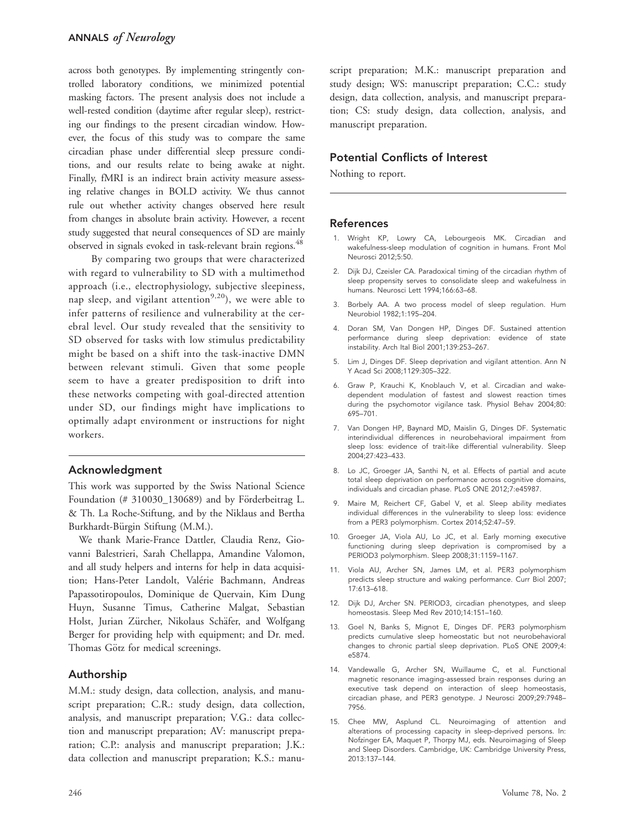across both genotypes. By implementing stringently controlled laboratory conditions, we minimized potential masking factors. The present analysis does not include a well-rested condition (daytime after regular sleep), restricting our findings to the present circadian window. However, the focus of this study was to compare the same circadian phase under differential sleep pressure conditions, and our results relate to being awake at night. Finally, fMRI is an indirect brain activity measure assessing relative changes in BOLD activity. We thus cannot rule out whether activity changes observed here result from changes in absolute brain activity. However, a recent study suggested that neural consequences of SD are mainly observed in signals evoked in task-relevant brain regions.<sup>48</sup>

By comparing two groups that were characterized with regard to vulnerability to SD with a multimethod approach (i.e., electrophysiology, subjective sleepiness, nap sleep, and vigilant attention<sup>9,20</sup>), we were able to infer patterns of resilience and vulnerability at the cerebral level. Our study revealed that the sensitivity to SD observed for tasks with low stimulus predictability might be based on a shift into the task-inactive DMN between relevant stimuli. Given that some people seem to have a greater predisposition to drift into these networks competing with goal-directed attention under SD, our findings might have implications to optimally adapt environment or instructions for night workers.

## Acknowledgment

This work was supported by the Swiss National Science Foundation (# 310030\_130689) and by Förderbeitrag L. & Th. La Roche-Stiftung, and by the Niklaus and Bertha Burkhardt-Bürgin Stiftung (M.M.).

We thank Marie-France Dattler, Claudia Renz, Giovanni Balestrieri, Sarah Chellappa, Amandine Valomon, and all study helpers and interns for help in data acquisition; Hans-Peter Landolt, Valérie Bachmann, Andreas Papassotiropoulos, Dominique de Quervain, Kim Dung Huyn, Susanne Timus, Catherine Malgat, Sebastian Holst, Jurian Zürcher, Nikolaus Schäfer, and Wolfgang Berger for providing help with equipment; and Dr. med. Thomas Götz for medical screenings.

# Authorship

M.M.: study design, data collection, analysis, and manuscript preparation; C.R.: study design, data collection, analysis, and manuscript preparation; V.G.: data collection and manuscript preparation; AV: manuscript preparation; C.P.: analysis and manuscript preparation; J.K.: data collection and manuscript preparation; K.S.: manuscript preparation; M.K.: manuscript preparation and study design; WS: manuscript preparation; C.C.: study design, data collection, analysis, and manuscript preparation; CS: study design, data collection, analysis, and manuscript preparation.

## Potential Conflicts of Interest

Nothing to report.

## References

- 1. Wright KP, Lowry CA, Lebourgeois MK. Circadian and wakefulness-sleep modulation of cognition in humans. Front Mol Neurosci 2012;5:50.
- 2. Dijk DJ, Czeisler CA. Paradoxical timing of the circadian rhythm of sleep propensity serves to consolidate sleep and wakefulness in humans. Neurosci Lett 1994;166:63–68.
- 3. Borbely AA. A two process model of sleep regulation. Hum Neurobiol 1982;1:195–204.
- 4. Doran SM, Van Dongen HP, Dinges DF. Sustained attention performance during sleep deprivation: evidence of state instability. Arch Ital Biol 2001;139:253–267.
- 5. Lim J, Dinges DF. Sleep deprivation and vigilant attention. Ann N Y Acad Sci 2008;1129:305–322.
- 6. Graw P, Krauchi K, Knoblauch V, et al. Circadian and wakedependent modulation of fastest and slowest reaction times during the psychomotor vigilance task. Physiol Behav 2004;80: 695–701.
- 7. Van Dongen HP, Baynard MD, Maislin G, Dinges DF. Systematic interindividual differences in neurobehavioral impairment from sleep loss: evidence of trait-like differential vulnerability. Sleep 2004;27:423–433.
- 8. Lo JC, Groeger JA, Santhi N, et al. Effects of partial and acute total sleep deprivation on performance across cognitive domains, individuals and circadian phase. PLoS ONE 2012;7:e45987.
- 9. Maire M, Reichert CF, Gabel V, et al. Sleep ability mediates individual differences in the vulnerability to sleep loss: evidence from a PER3 polymorphism. Cortex 2014;52:47–59.
- 10. Groeger JA, Viola AU, Lo JC, et al. Early morning executive functioning during sleep deprivation is compromised by a PERIOD3 polymorphism. Sleep 2008;31:1159–1167.
- 11. Viola AU, Archer SN, James LM, et al. PER3 polymorphism predicts sleep structure and waking performance. Curr Biol 2007; 17:613–618.
- 12. Dijk DJ, Archer SN. PERIOD3, circadian phenotypes, and sleep homeostasis. Sleep Med Rev 2010;14:151–160.
- 13. Goel N, Banks S, Mignot E, Dinges DF. PER3 polymorphism predicts cumulative sleep homeostatic but not neurobehavioral changes to chronic partial sleep deprivation. PLoS ONE 2009;4: e5874.
- 14. Vandewalle G, Archer SN, Wuillaume C, et al. Functional magnetic resonance imaging-assessed brain responses during an executive task depend on interaction of sleep homeostasis, circadian phase, and PER3 genotype. J Neurosci 2009;29:7948– 7956.
- 15. Chee MW, Asplund CL. Neuroimaging of attention and alterations of processing capacity in sleep-deprived persons. In: Nofzinger EA, Maquet P, Thorpy MJ, eds. Neuroimaging of Sleep and Sleep Disorders. Cambridge, UK: Cambridge University Press, 2013:137–144.